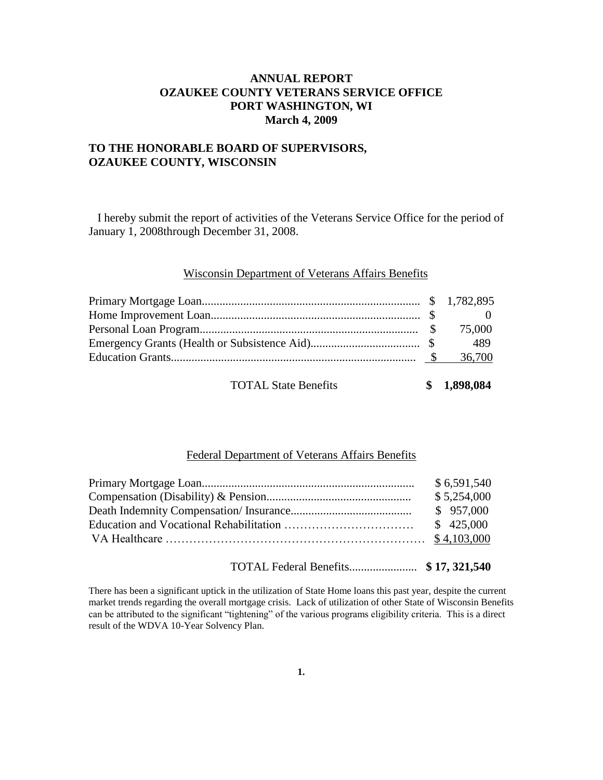# **ANNUAL REPORT OZAUKEE COUNTY VETERANS SERVICE OFFICE PORT WASHINGTON, WI March 4, 2009**

## **TO THE HONORABLE BOARD OF SUPERVISORS, OZAUKEE COUNTY, WISCONSIN**

 I hereby submit the report of activities of the Veterans Service Office for the period of January 1, 2008through December 31, 2008.

#### Wisconsin Department of Veterans Affairs Benefits

|                             | 489         |
|-----------------------------|-------------|
|                             |             |
| <b>TOTAL State Benefits</b> | \$1,898,084 |

## Federal Department of Veterans Affairs Benefits

| \$6,591,540 |
|-------------|
| \$5,254,000 |
| \$957,000   |
| \$425,000   |
|             |
|             |

TOTAL Federal Benefits....................... **\$ 17, 321,540**

There has been a significant uptick in the utilization of State Home loans this past year, despite the current market trends regarding the overall mortgage crisis. Lack of utilization of other State of Wisconsin Benefits can be attributed to the significant "tightening" of the various programs eligibility criteria. This is a direct result of the WDVA 10-Year Solvency Plan.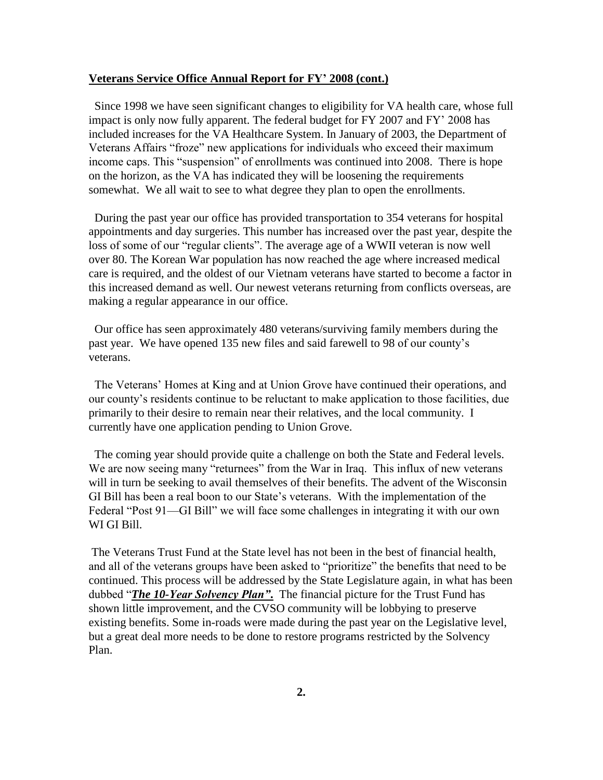#### **Veterans Service Office Annual Report for FY' 2008 (cont.)**

 Since 1998 we have seen significant changes to eligibility for VA health care, whose full impact is only now fully apparent. The federal budget for FY 2007 and FY' 2008 has included increases for the VA Healthcare System. In January of 2003, the Department of Veterans Affairs "froze" new applications for individuals who exceed their maximum income caps. This "suspension" of enrollments was continued into 2008. There is hope on the horizon, as the VA has indicated they will be loosening the requirements somewhat. We all wait to see to what degree they plan to open the enrollments.

 During the past year our office has provided transportation to 354 veterans for hospital appointments and day surgeries. This number has increased over the past year, despite the loss of some of our "regular clients". The average age of a WWII veteran is now well over 80. The Korean War population has now reached the age where increased medical care is required, and the oldest of our Vietnam veterans have started to become a factor in this increased demand as well. Our newest veterans returning from conflicts overseas, are making a regular appearance in our office.

 Our office has seen approximately 480 veterans/surviving family members during the past year. We have opened 135 new files and said farewell to 98 of our county's veterans.

 The Veterans' Homes at King and at Union Grove have continued their operations, and our county's residents continue to be reluctant to make application to those facilities, due primarily to their desire to remain near their relatives, and the local community. I currently have one application pending to Union Grove.

 The coming year should provide quite a challenge on both the State and Federal levels. We are now seeing many "returnees" from the War in Iraq. This influx of new veterans will in turn be seeking to avail themselves of their benefits. The advent of the Wisconsin GI Bill has been a real boon to our State's veterans. With the implementation of the Federal "Post 91—GI Bill" we will face some challenges in integrating it with our own WI GI Bill.

The Veterans Trust Fund at the State level has not been in the best of financial health, and all of the veterans groups have been asked to "prioritize" the benefits that need to be continued. This process will be addressed by the State Legislature again, in what has been dubbed "*The 10-Year Solvency Plan"*. The financial picture for the Trust Fund has shown little improvement, and the CVSO community will be lobbying to preserve existing benefits. Some in-roads were made during the past year on the Legislative level, but a great deal more needs to be done to restore programs restricted by the Solvency Plan.